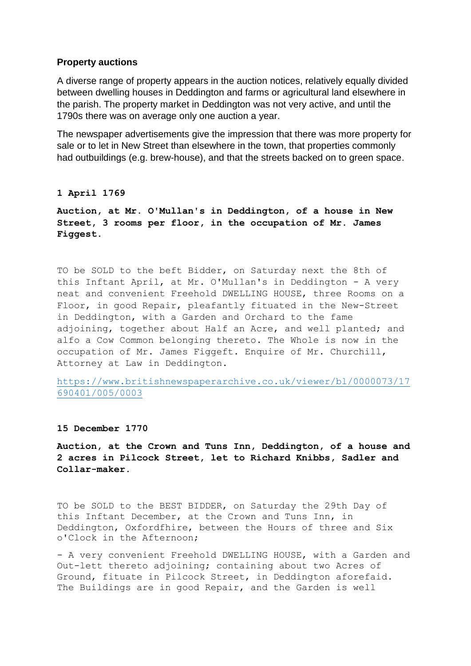## **Property auctions**

A diverse range of property appears in the auction notices, relatively equally divided between dwelling houses in Deddington and farms or agricultural land elsewhere in the parish. The property market in Deddington was not very active, and until the 1790s there was on average only one auction a year.

The newspaper advertisements give the impression that there was more property for sale or to let in New Street than elsewhere in the town, that properties commonly had outbuildings (e.g. brew-house), and that the streets backed on to green space.

## **1 April 1769**

**Auction, at Mr. O'Mullan's in Deddington, of a house in New Street, 3 rooms per floor, in the occupation of Mr. James Figgest.**

TO be SOLD to the beft Bidder, on Saturday next the 8th of this Inftant April, at Mr. O'Mullan's in Deddington - A very neat and convenient Freehold DWELLING HOUSE, three Rooms on a Floor, in good Repair, pleafantly fituated in the New-Street in Deddington, with a Garden and Orchard to the fame adjoining, together about Half an Acre, and well planted; and alfo a Cow Common belonging thereto. The Whole is now in the occupation of Mr. James Figgeft. Enquire of Mr. Churchill, Attorney at Law in Deddington.

[https://www.britishnewspaperarchive.co.uk/viewer/bl/0000073/17](https://www.britishnewspaperarchive.co.uk/viewer/bl/0000073/17690401/005/0003) [690401/005/0003](https://www.britishnewspaperarchive.co.uk/viewer/bl/0000073/17690401/005/0003)

## **15 December 1770**

**Auction, at the Crown and Tuns Inn, Deddington, of a house and 2 acres in Pilcock Street, let to Richard Knibbs, Sadler and Collar-maker.**

TO be SOLD to the BEST BIDDER, on Saturday the 29th Day of this Inftant December, at the Crown and Tuns Inn, in Deddington, Oxfordfhire, between the Hours of three and Six o'Clock in the Afternoon;

- A very convenient Freehold DWELLING HOUSE, with a Garden and Out-lett thereto adjoining; containing about two Acres of Ground, fituate in Pilcock Street, in Deddington aforefaid. The Buildings are in good Repair, and the Garden is well